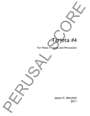## Tarjeta #4

For Piano 4-hands and Percussion



Jason H. Mitchell 2011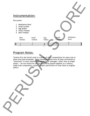

## Program Notes:

*Tarjeta #4* is the fourth work in a series of short compositions for piano solo or piano and small ensemble. These miniature works have all been envisioned as "postcards" or short letters that convey brief messages, rather than as longer essays. I do not intend for the *Tarjetas* to be played together as a solitary, large-scale composition; rather, I expect performers to treat them as singular pieces.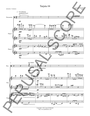![](_page_2_Figure_0.jpeg)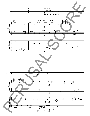![](_page_3_Figure_0.jpeg)